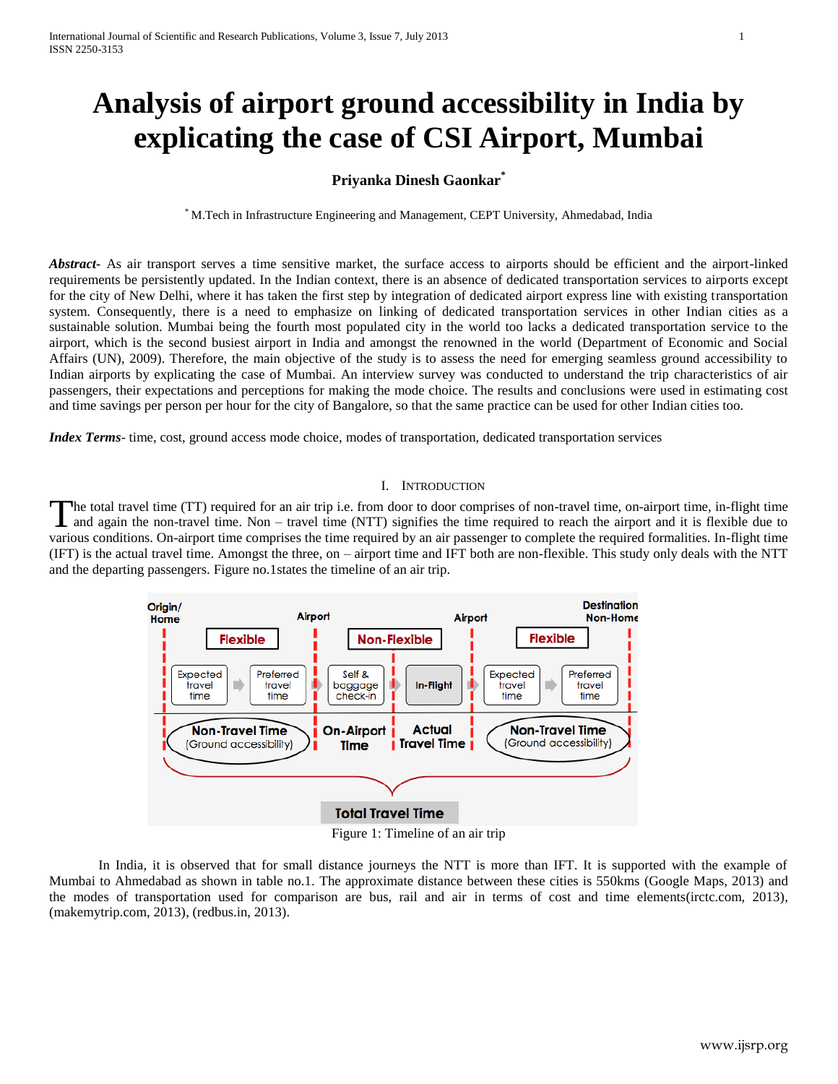# **Analysis of airport ground accessibility in India by explicating the case of CSI Airport, Mumbai**

# **Priyanka Dinesh Gaonkar\***

\* M.Tech in Infrastructure Engineering and Management, CEPT University, Ahmedabad, India

*Abstract***-** As air transport serves a time sensitive market, the surface access to airports should be efficient and the airport-linked requirements be persistently updated. In the Indian context, there is an absence of dedicated transportation services to airports except for the city of New Delhi, where it has taken the first step by integration of dedicated airport express line with existing transportation system. Consequently, there is a need to emphasize on linking of dedicated transportation services in other Indian cities as a sustainable solution. Mumbai being the fourth most populated city in the world too lacks a dedicated transportation service to the airport, which is the second busiest airport in India and amongst the renowned in the world (Department of Economic and Social Affairs (UN), 2009). Therefore, the main objective of the study is to assess the need for emerging seamless ground accessibility to Indian airports by explicating the case of Mumbai. An interview survey was conducted to understand the trip characteristics of air passengers, their expectations and perceptions for making the mode choice. The results and conclusions were used in estimating cost and time savings per person per hour for the city of Bangalore, so that the same practice can be used for other Indian cities too.

*Index Terms*- time, cost, ground access mode choice, modes of transportation, dedicated transportation services

#### I. INTRODUCTION

he total travel time (TT) required for an air trip i.e. from door to door comprises of non-travel time, on-airport time, in-flight time The total travel time (TT) required for an air trip i.e. from door to door comprises of non-travel time, on-airport time, in-flight time and again the non-travel time. Non – travel time (NTT) signifies the time required to various conditions. On-airport time comprises the time required by an air passenger to complete the required formalities. In-flight time (IFT) is the actual travel time. Amongst the three, on – airport time and IFT both are non-flexible. This study only deals with the NTT and the departing passengers. Figure no.1states the timeline of an air trip.





In India, it is observed that for small distance journeys the NTT is more than IFT. It is supported with the example of Mumbai to Ahmedabad as shown in table no.1. The approximate distance between these cities is 550kms (Google Maps, 2013) and the modes of transportation used for comparison are bus, rail and air in terms of cost and time elements(irctc.com, 2013), (makemytrip.com, 2013), (redbus.in, 2013).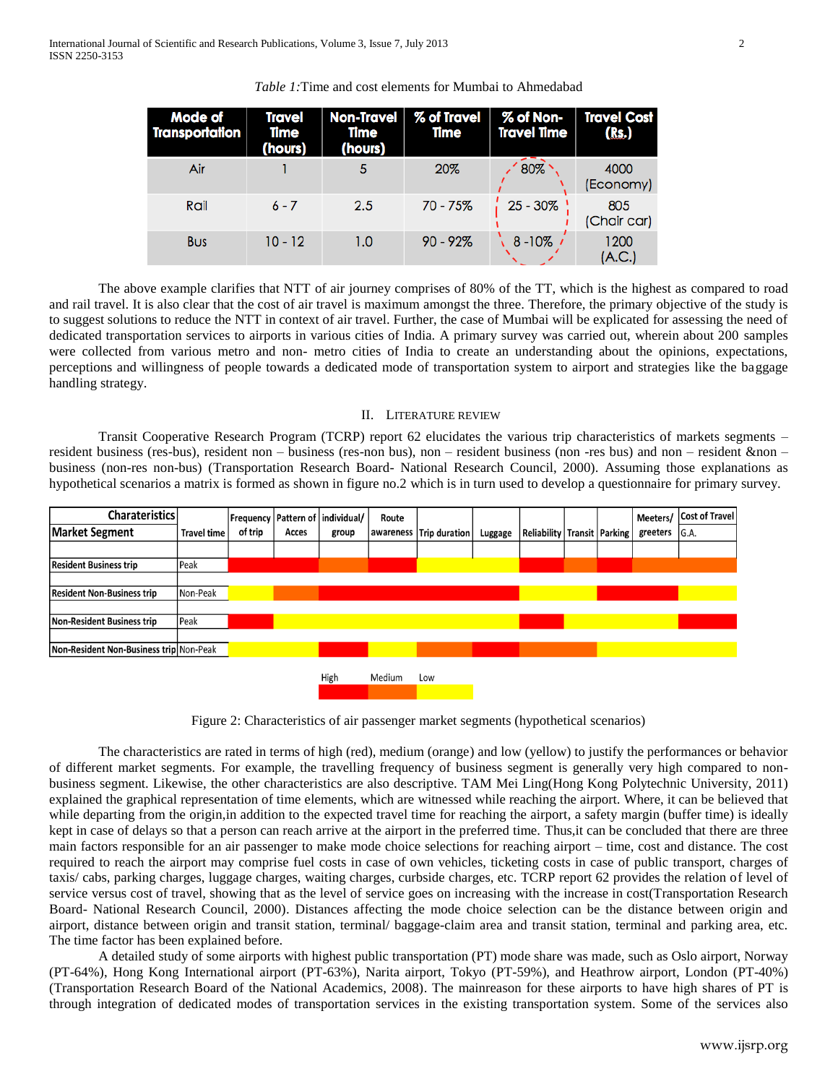| <b>Mode of</b><br><b>Transportation</b> | <b>Travel</b><br>Time<br>(hours) | Non-Travel<br>Time<br>(hours) | % of Travel<br>Time | % of Non-<br>Travel Time             | <b>Travel Cost</b><br>(Rs.) |
|-----------------------------------------|----------------------------------|-------------------------------|---------------------|--------------------------------------|-----------------------------|
| Air                                     |                                  |                               | 20%                 | $180\%$                              | 4000<br>(Economy)           |
| Rail                                    | $6 - 7$                          | 2.5                           | 70 - 75%            | $\frac{1}{1}$ 25 - 30% $\frac{1}{1}$ | 805<br>(Chair car)          |
| <b>Bus</b>                              | $10 - 12$                        | 1.0                           | $90 - 92%$          | $8 - 10\%$ /                         | 1200<br>(A.C.)              |

*Table 1:*Time and cost elements for Mumbai to Ahmedabad

The above example clarifies that NTT of air journey comprises of 80% of the TT, which is the highest as compared to road and rail travel. It is also clear that the cost of air travel is maximum amongst the three. Therefore, the primary objective of the study is to suggest solutions to reduce the NTT in context of air travel. Further, the case of Mumbai will be explicated for assessing the need of dedicated transportation services to airports in various cities of India. A primary survey was carried out, wherein about 200 samples were collected from various metro and non- metro cities of India to create an understanding about the opinions, expectations, perceptions and willingness of people towards a dedicated mode of transportation system to airport and strategies like the baggage handling strategy.

#### II. LITERATURE REVIEW

Transit Cooperative Research Program (TCRP) report 62 elucidates the various trip characteristics of markets segments – resident business (res-bus), resident non – business (res-non bus), non – resident business (non -res bus) and non – resident &non – business (non-res non-bus) (Transportation Research Board- National Research Council, 2000). Assuming those explanations as hypothetical scenarios a matrix is formed as shown in figure no.2 which is in turn used to develop a questionnaire for primary survey.



Figure 2: Characteristics of air passenger market segments (hypothetical scenarios)

The characteristics are rated in terms of high (red), medium (orange) and low (yellow) to justify the performances or behavior of different market segments. For example, the travelling frequency of business segment is generally very high compared to nonbusiness segment. Likewise, the other characteristics are also descriptive. TAM Mei Ling(Hong Kong Polytechnic University, 2011) explained the graphical representation of time elements, which are witnessed while reaching the airport. Where, it can be believed that while departing from the origin, in addition to the expected travel time for reaching the airport, a safety margin (buffer time) is ideally kept in case of delays so that a person can reach arrive at the airport in the preferred time. Thus,it can be concluded that there are three main factors responsible for an air passenger to make mode choice selections for reaching airport – time, cost and distance. The cost required to reach the airport may comprise fuel costs in case of own vehicles, ticketing costs in case of public transport, charges of taxis/ cabs, parking charges, luggage charges, waiting charges, curbside charges, etc. TCRP report 62 provides the relation of level of service versus cost of travel, showing that as the level of service goes on increasing with the increase in cost(Transportation Research Board- National Research Council, 2000). Distances affecting the mode choice selection can be the distance between origin and airport, distance between origin and transit station, terminal/ baggage-claim area and transit station, terminal and parking area, etc. The time factor has been explained before.

A detailed study of some airports with highest public transportation (PT) mode share was made, such as Oslo airport, Norway (PT-64%), Hong Kong International airport (PT-63%), Narita airport, Tokyo (PT-59%), and Heathrow airport, London (PT-40%) (Transportation Research Board of the National Academics, 2008). The mainreason for these airports to have high shares of PT is through integration of dedicated modes of transportation services in the existing transportation system. Some of the services also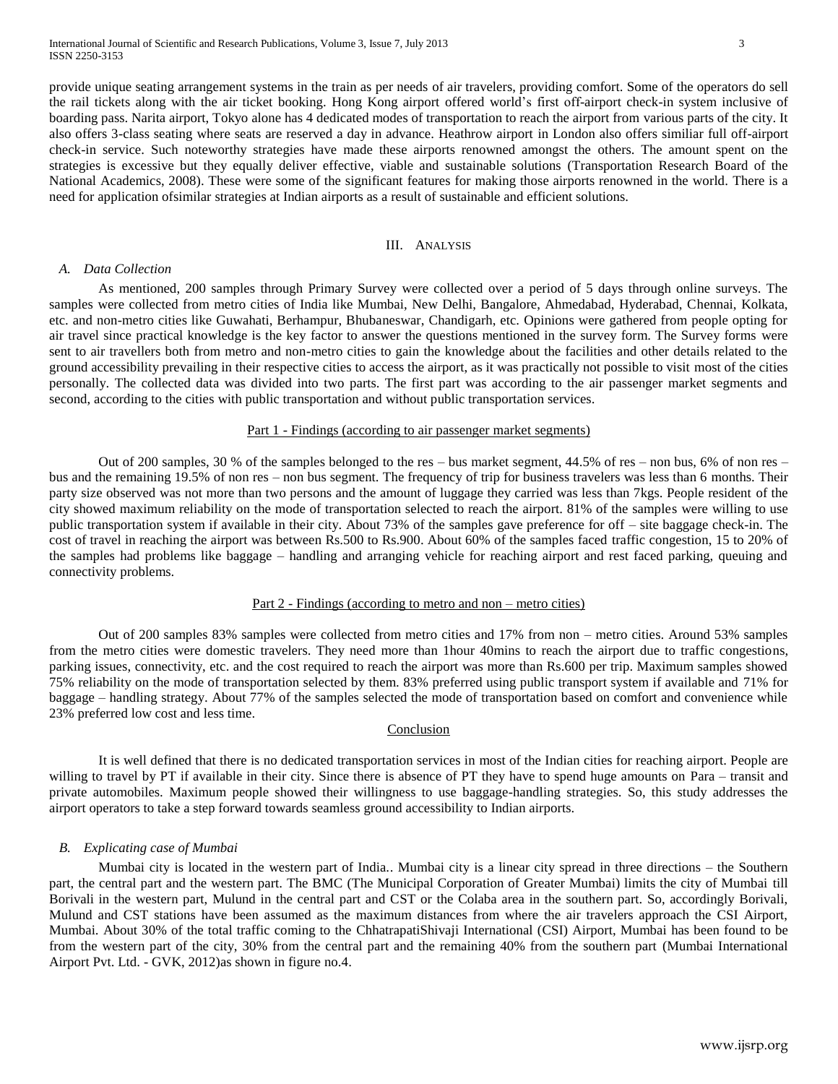provide unique seating arrangement systems in the train as per needs of air travelers, providing comfort. Some of the operators do sell the rail tickets along with the air ticket booking. Hong Kong airport offered world's first off-airport check-in system inclusive of boarding pass. Narita airport, Tokyo alone has 4 dedicated modes of transportation to reach the airport from various parts of the city. It also offers 3-class seating where seats are reserved a day in advance. Heathrow airport in London also offers similiar full off-airport check-in service. Such noteworthy strategies have made these airports renowned amongst the others. The amount spent on the strategies is excessive but they equally deliver effective, viable and sustainable solutions (Transportation Research Board of the National Academics, 2008). These were some of the significant features for making those airports renowned in the world. There is a need for application ofsimilar strategies at Indian airports as a result of sustainable and efficient solutions.

#### III. ANALYSIS

#### *A. Data Collection*

As mentioned, 200 samples through Primary Survey were collected over a period of 5 days through online surveys. The samples were collected from metro cities of India like Mumbai, New Delhi, Bangalore, Ahmedabad, Hyderabad, Chennai, Kolkata, etc. and non-metro cities like Guwahati, Berhampur, Bhubaneswar, Chandigarh, etc. Opinions were gathered from people opting for air travel since practical knowledge is the key factor to answer the questions mentioned in the survey form. The Survey forms were sent to air travellers both from metro and non-metro cities to gain the knowledge about the facilities and other details related to the ground accessibility prevailing in their respective cities to access the airport, as it was practically not possible to visit most of the cities personally. The collected data was divided into two parts. The first part was according to the air passenger market segments and second, according to the cities with public transportation and without public transportation services.

## Part 1 - Findings (according to air passenger market segments)

Out of 200 samples, 30 % of the samples belonged to the res – bus market segment, 44.5% of res – non bus, 6% of non res – bus and the remaining 19.5% of non res – non bus segment. The frequency of trip for business travelers was less than 6 months. Their party size observed was not more than two persons and the amount of luggage they carried was less than 7kgs. People resident of the city showed maximum reliability on the mode of transportation selected to reach the airport. 81% of the samples were willing to use public transportation system if available in their city. About 73% of the samples gave preference for off – site baggage check-in. The cost of travel in reaching the airport was between Rs.500 to Rs.900. About 60% of the samples faced traffic congestion, 15 to 20% of the samples had problems like baggage – handling and arranging vehicle for reaching airport and rest faced parking, queuing and connectivity problems.

# Part 2 - Findings (according to metro and non – metro cities)

Out of 200 samples 83% samples were collected from metro cities and 17% from non – metro cities. Around 53% samples from the metro cities were domestic travelers. They need more than 1hour 40mins to reach the airport due to traffic congestions, parking issues, connectivity, etc. and the cost required to reach the airport was more than Rs.600 per trip. Maximum samples showed 75% reliability on the mode of transportation selected by them. 83% preferred using public transport system if available and 71% for baggage – handling strategy. About 77% of the samples selected the mode of transportation based on comfort and convenience while 23% preferred low cost and less time.

### Conclusion

It is well defined that there is no dedicated transportation services in most of the Indian cities for reaching airport. People are willing to travel by PT if available in their city. Since there is absence of PT they have to spend huge amounts on Para – transit and private automobiles. Maximum people showed their willingness to use baggage-handling strategies. So, this study addresses the airport operators to take a step forward towards seamless ground accessibility to Indian airports.

#### *B. Explicating case of Mumbai*

Mumbai city is located in the western part of India.. Mumbai city is a linear city spread in three directions – the Southern part, the central part and the western part. The BMC (The Municipal Corporation of Greater Mumbai) limits the city of Mumbai till Borivali in the western part, Mulund in the central part and CST or the Colaba area in the southern part. So, accordingly Borivali, Mulund and CST stations have been assumed as the maximum distances from where the air travelers approach the CSI Airport, Mumbai. About 30% of the total traffic coming to the ChhatrapatiShivaji International (CSI) Airport, Mumbai has been found to be from the western part of the city, 30% from the central part and the remaining 40% from the southern part (Mumbai International Airport Pvt. Ltd. - GVK, 2012)as shown in figure no.4.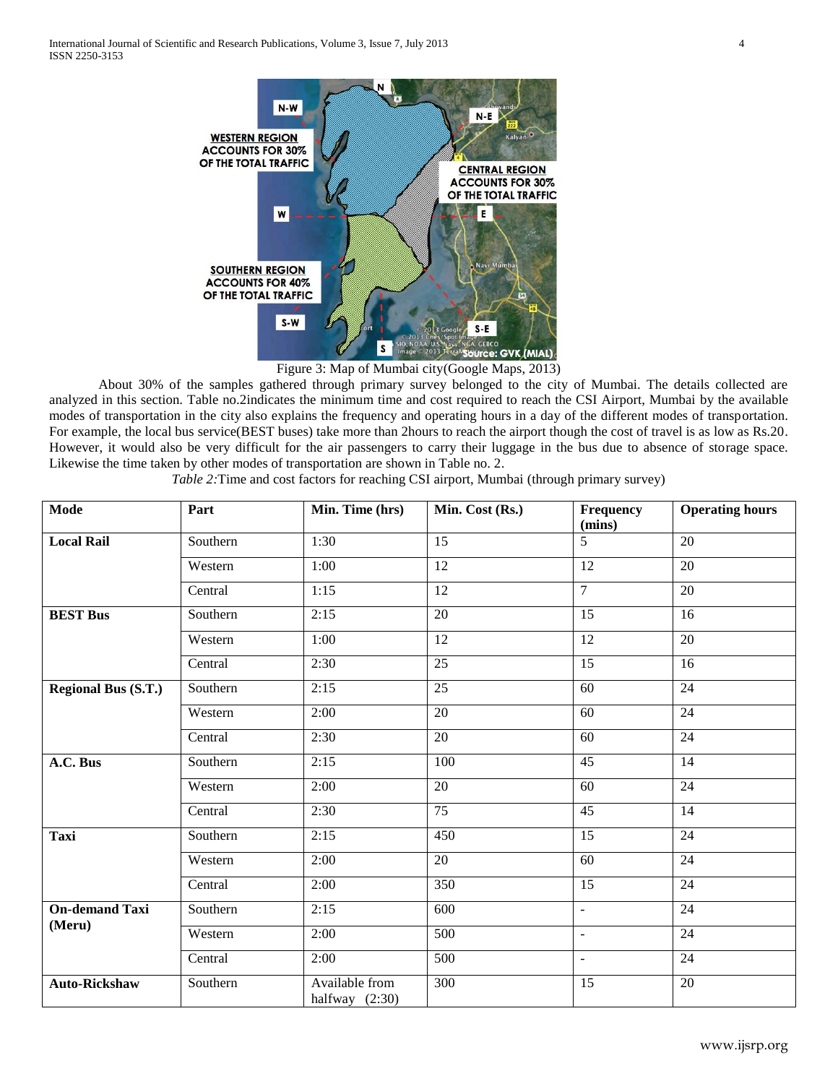International Journal of Scientific and Research Publications, Volume 3, Issue 7, July 2013 4 ISSN 2250-3153



Figure 3: Map of Mumbai city(Google Maps, 2013)

About 30% of the samples gathered through primary survey belonged to the city of Mumbai. The details collected are analyzed in this section. Table no.2indicates the minimum time and cost required to reach the CSI Airport, Mumbai by the available modes of transportation in the city also explains the frequency and operating hours in a day of the different modes of transportation. For example, the local bus service(BEST buses) take more than 2hours to reach the airport though the cost of travel is as low as Rs.20. However, it would also be very difficult for the air passengers to carry their luggage in the bus due to absence of storage space. Likewise the time taken by other modes of transportation are shown in Table no. 2.

*Table 2:*Time and cost factors for reaching CSI airport, Mumbai (through primary survey)

| <b>Mode</b>                     | Part     | Min. Time (hrs)                    | Min. Cost (Rs.)  | Frequency<br>(mins) | <b>Operating hours</b> |
|---------------------------------|----------|------------------------------------|------------------|---------------------|------------------------|
| <b>Local Rail</b>               | Southern | 1:30                               | $\overline{15}$  | $\overline{5}$      | $\overline{20}$        |
|                                 | Western  | 1:00                               | 12               | 12                  | 20                     |
|                                 | Central  | 1:15                               | $\overline{12}$  | $\overline{7}$      | $\overline{20}$        |
| <b>BEST Bus</b>                 | Southern | 2:15                               | 20               | 15                  | 16                     |
|                                 | Western  | 1:00                               | $\overline{12}$  | 12                  | 20                     |
|                                 | Central  | 2:30                               | $\overline{25}$  | 15                  | 16                     |
| <b>Regional Bus (S.T.)</b>      | Southern | 2:15                               | $\overline{25}$  | $\overline{60}$     | 24                     |
|                                 | Western  | 2:00                               | 20               | 60                  | 24                     |
|                                 | Central  | 2:30                               | 20               | 60                  | $\overline{24}$        |
| A.C. Bus                        | Southern | 2:15                               | 100              | 45                  | 14                     |
|                                 | Western  | 2:00                               | 20               | 60                  | 24                     |
|                                 | Central  | 2:30                               | 75               | $\overline{45}$     | $\overline{14}$        |
| <b>Taxi</b>                     | Southern | 2:15                               | 450              | 15                  | 24                     |
|                                 | Western  | 2:00                               | 20               | 60                  | 24                     |
|                                 | Central  | 2:00                               | 350              | $\overline{15}$     | 24                     |
| <b>On-demand Taxi</b><br>(Meru) | Southern | 2:15                               | 600              | $\mathbb{L}$        | 24                     |
|                                 | Western  | 2:00                               | $\overline{500}$ | $\mathbb{L}$        | $\overline{24}$        |
|                                 | Central  | 2:00                               | 500              | $\mathbf{u}$        | 24                     |
| <b>Auto-Rickshaw</b>            | Southern | Available from<br>halfway $(2:30)$ | 300              | 15                  | $\overline{20}$        |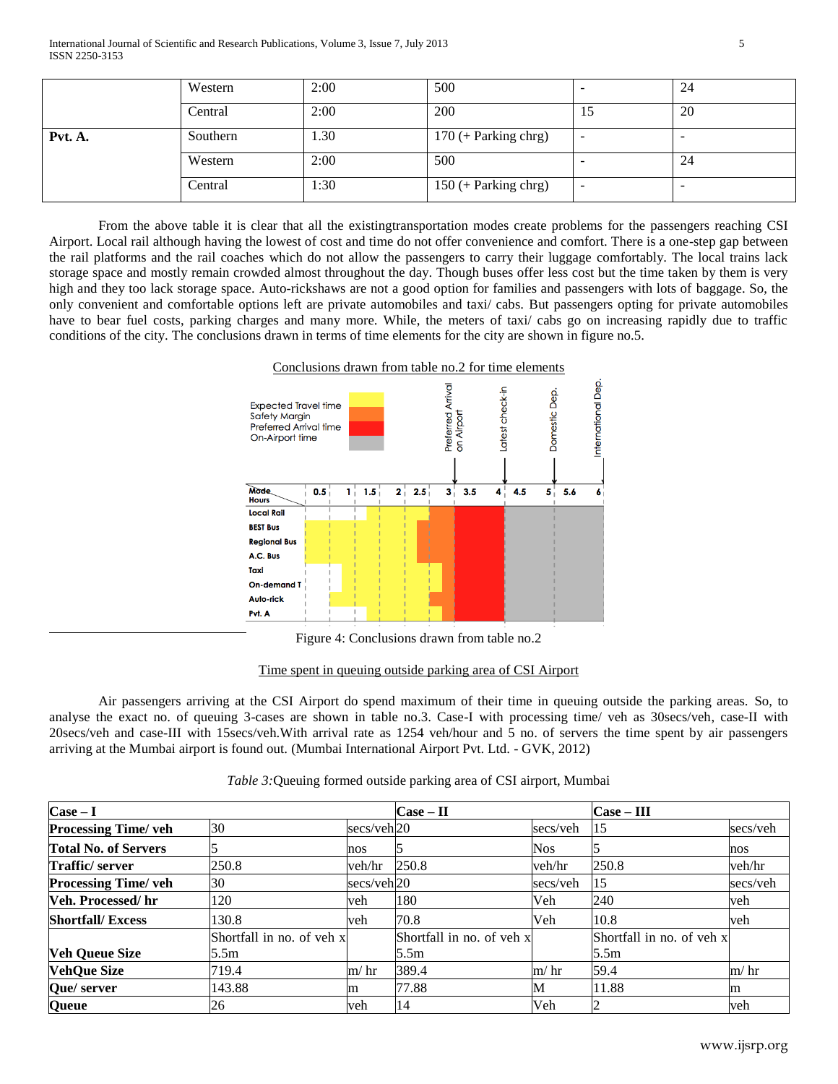|         | Western  | 2:00 | 500                    |           | 24 |
|---------|----------|------|------------------------|-----------|----|
|         | Central  | 2:00 | 200                    | 15        | 20 |
| Pvt. A. | Southern | 1.30 | $170$ (+ Parking chrg) | <b>11</b> |    |
|         | Western  | 2:00 | 500                    |           | 24 |
|         | Central  | 1:30 | $150$ (+ Parking chrg) | <b>11</b> |    |

From the above table it is clear that all the existingtransportation modes create problems for the passengers reaching CSI Airport. Local rail although having the lowest of cost and time do not offer convenience and comfort. There is a one-step gap between the rail platforms and the rail coaches which do not allow the passengers to carry their luggage comfortably. The local trains lack storage space and mostly remain crowded almost throughout the day. Though buses offer less cost but the time taken by them is very high and they too lack storage space. Auto-rickshaws are not a good option for families and passengers with lots of baggage. So, the only convenient and comfortable options left are private automobiles and taxi/ cabs. But passengers opting for private automobiles have to bear fuel costs, parking charges and many more. While, the meters of taxi/ cabs go on increasing rapidly due to traffic conditions of the city. The conclusions drawn in terms of time elements for the city are shown in figure no.5.



Figure 4: Conclusions drawn from table no.2

# Time spent in queuing outside parking area of CSI Airport

Air passengers arriving at the CSI Airport do spend maximum of their time in queuing outside the parking areas. So, to analyse the exact no. of queuing 3-cases are shown in table no.3. Case-I with processing time/ veh as 30secs/veh, case-II with 20secs/veh and case-III with 15secs/veh.With arrival rate as 1254 veh/hour and 5 no. of servers the time spent by air passengers arriving at the Mumbai airport is found out. (Mumbai International Airport Pvt. Ltd. - GVK, 2012)

| $\textbf{Case} - \textbf{I}$ |                           |                        | $Case - II$               |            | $Case - III$              |          |
|------------------------------|---------------------------|------------------------|---------------------------|------------|---------------------------|----------|
| <b>Processing Time/ veh</b>  | 30                        | secs/veh20             |                           | secs/veh   | 15                        | secs/veh |
| <b>Total No. of Servers</b>  |                           | nos                    |                           | <b>Nos</b> |                           | nos      |
| Traffic/server               | 250.8                     | veh/hr                 | 250.8                     | veh/hr     | 250.8                     | veh/hr   |
| <b>Processing Time/ veh</b>  | 30                        | secs/veh <sub>20</sub> |                           | secs/veh   | 15                        | secs/veh |
| Veh. Processed/hr            | 120                       | veh                    | 180                       | Veh        | 240                       | veh      |
| <b>Shortfall/Excess</b>      | 130.8                     | veh                    | 70.8                      | Veh        | 10.8                      | veh      |
|                              | Shortfall in no. of veh x |                        | Shortfall in no. of veh x |            | Shortfall in no. of veh x |          |
| <b>Veh Queue Size</b>        | 5.5m                      |                        | 5.5m                      |            | 5.5m                      |          |
| <b>VehQue Size</b>           | 719.4                     | $m/$ hr                | 389.4                     | $m/$ hr    | 59.4                      | $m/$ hr  |
| Que/ server                  | 143.88                    | m                      | 77.88                     | M          | 11.88                     | m        |
| Queue                        | 26                        | veh                    | 14                        | Veh        |                           | veh      |

## *Table 3:*Queuing formed outside parking area of CSI airport, Mumbai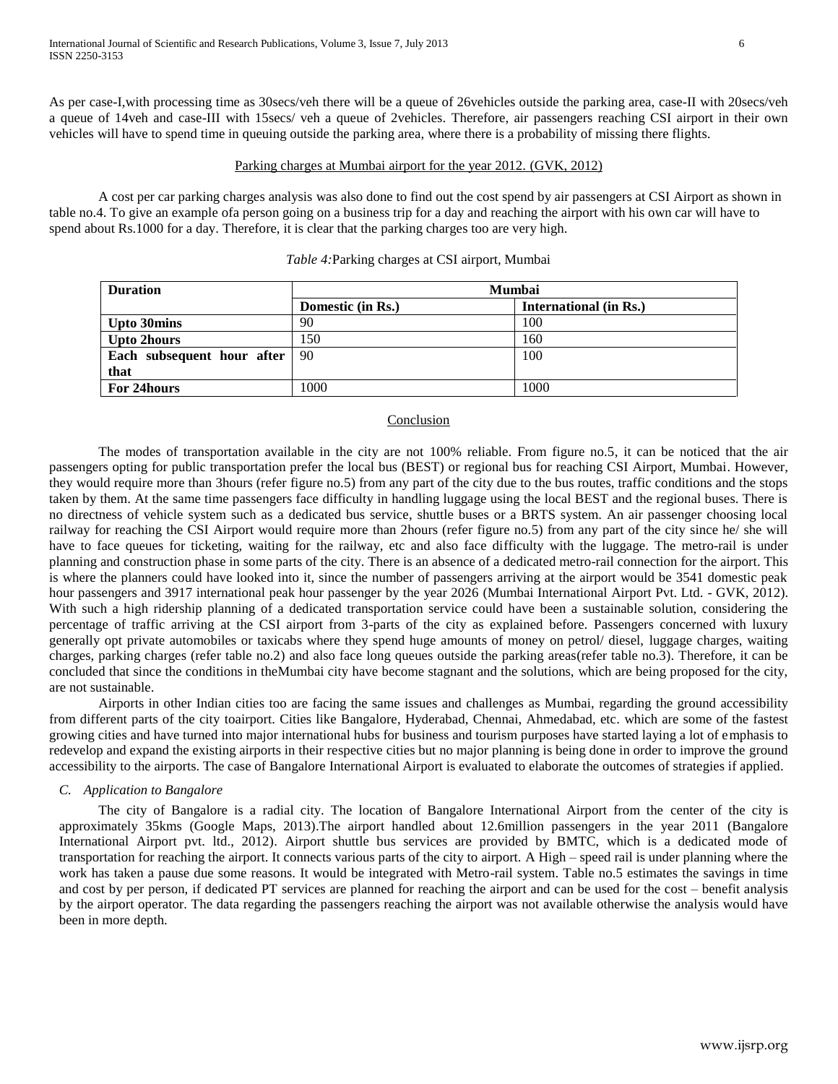As per case-I,with processing time as 30secs/veh there will be a queue of 26vehicles outside the parking area, case-II with 20secs/veh a queue of 14veh and case-III with 15secs/ veh a queue of 2vehicles. Therefore, air passengers reaching CSI airport in their own vehicles will have to spend time in queuing outside the parking area, where there is a probability of missing there flights.

# Parking charges at Mumbai airport for the year 2012. (GVK, 2012)

A cost per car parking charges analysis was also done to find out the cost spend by air passengers at CSI Airport as shown in table no.4. To give an example ofa person going on a business trip for a day and reaching the airport with his own car will have to spend about Rs.1000 for a day. Therefore, it is clear that the parking charges too are very high.

| <b>Duration</b>                 | <b>Mumbai</b>     |                               |  |  |  |
|---------------------------------|-------------------|-------------------------------|--|--|--|
|                                 | Domestic (in Rs.) | <b>International</b> (in Rs.) |  |  |  |
| <b>Upto 30mins</b>              | 90                | 100                           |  |  |  |
| <b>Upto 2hours</b>              | 150               | 160                           |  |  |  |
| Each subsequent hour after   90 |                   | 100                           |  |  |  |
| that                            |                   |                               |  |  |  |
| For 24 hours                    | 1000              | 1000                          |  |  |  |

*Table 4:*Parking charges at CSI airport, Mumbai

# Conclusion

The modes of transportation available in the city are not 100% reliable. From figure no.5, it can be noticed that the air passengers opting for public transportation prefer the local bus (BEST) or regional bus for reaching CSI Airport, Mumbai. However, they would require more than 3hours (refer figure no.5) from any part of the city due to the bus routes, traffic conditions and the stops taken by them. At the same time passengers face difficulty in handling luggage using the local BEST and the regional buses. There is no directness of vehicle system such as a dedicated bus service, shuttle buses or a BRTS system. An air passenger choosing local railway for reaching the CSI Airport would require more than 2hours (refer figure no.5) from any part of the city since he/ she will have to face queues for ticketing, waiting for the railway, etc and also face difficulty with the luggage. The metro-rail is under planning and construction phase in some parts of the city. There is an absence of a dedicated metro-rail connection for the airport. This is where the planners could have looked into it, since the number of passengers arriving at the airport would be 3541 domestic peak hour passengers and 3917 international peak hour passenger by the year 2026 (Mumbai International Airport Pvt. Ltd. - GVK, 2012). With such a high ridership planning of a dedicated transportation service could have been a sustainable solution, considering the percentage of traffic arriving at the CSI airport from 3-parts of the city as explained before. Passengers concerned with luxury generally opt private automobiles or taxicabs where they spend huge amounts of money on petrol/ diesel, luggage charges, waiting charges, parking charges (refer table no.2) and also face long queues outside the parking areas(refer table no.3). Therefore, it can be concluded that since the conditions in theMumbai city have become stagnant and the solutions, which are being proposed for the city, are not sustainable.

Airports in other Indian cities too are facing the same issues and challenges as Mumbai, regarding the ground accessibility from different parts of the city toairport. Cities like Bangalore, Hyderabad, Chennai, Ahmedabad, etc. which are some of the fastest growing cities and have turned into major international hubs for business and tourism purposes have started laying a lot of emphasis to redevelop and expand the existing airports in their respective cities but no major planning is being done in order to improve the ground accessibility to the airports. The case of Bangalore International Airport is evaluated to elaborate the outcomes of strategies if applied.

## *C. Application to Bangalore*

The city of Bangalore is a radial city. The location of Bangalore International Airport from the center of the city is approximately 35kms (Google Maps, 2013).The airport handled about 12.6million passengers in the year 2011 (Bangalore International Airport pvt. ltd., 2012). Airport shuttle bus services are provided by BMTC, which is a dedicated mode of transportation for reaching the airport. It connects various parts of the city to airport. A High – speed rail is under planning where the work has taken a pause due some reasons. It would be integrated with Metro-rail system. Table no.5 estimates the savings in time and cost by per person, if dedicated PT services are planned for reaching the airport and can be used for the cost – benefit analysis by the airport operator. The data regarding the passengers reaching the airport was not available otherwise the analysis would have been in more depth.